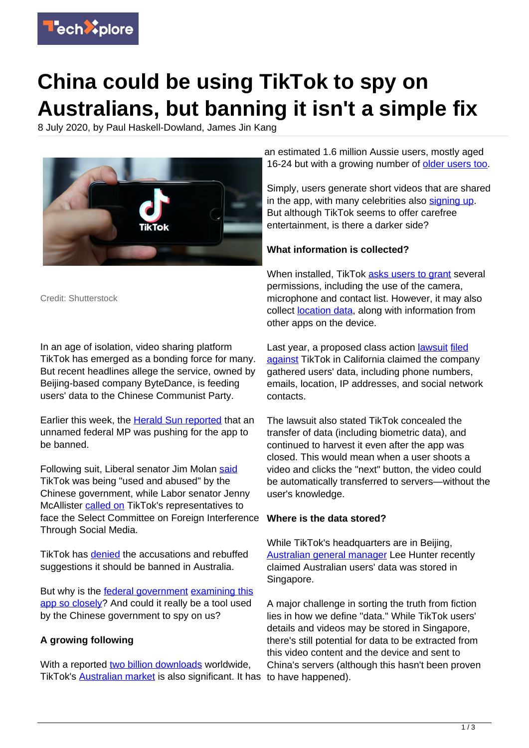

# **China could be using TikTok to spy on Australians, but banning it isn't a simple fix**

8 July 2020, by Paul Haskell-Dowland, James Jin Kang



Credit: Shutterstock

In an age of isolation, video sharing platform TikTok has emerged as a bonding force for many. But recent headlines allege the service, owned by Beijing-based company ByteDance, is feeding users' data to the Chinese Communist Party.

Earlier this week, the **Herald Sun reported** that an unnamed federal MP was pushing for the app to be banned.

Following suit, Liberal senator Jim Molan [said](https://www.theguardian.com/technology/2020/jul/06/tiktok-may-be-data-collection-service-disguised-as-social-media-liberal-senator-says) TikTok was being "used and abused" by the Chinese government, while Labor senator Jenny McAllister [called on](https://www.businessinsider.com.au/tiktok-australia-data-privacy-china-concerns-2020-7) TikTok's representatives to face the Select Committee on Foreign Interference Through Social Media.

TikTok has [denied](https://thenewdaily.com.au/news/2020/07/07/tiktoks-australia-future/) the accusations and rebuffed suggestions it should be banned in Australia.

But why is the [federal government](https://techxplore.com/tags/federal+government/) [examining this](https://www.smh.com.au/technology/tiktok-on-thin-ice-as-parliament-prepares-to-pore-over-app-20200706-p559d9.html) [app so closely](https://www.smh.com.au/technology/tiktok-on-thin-ice-as-parliament-prepares-to-pore-over-app-20200706-p559d9.html)? And could it really be a tool used by the Chinese government to spy on us?

## **A growing following**

With a reported [two billion downloads](https://www.theverge.com/2020/4/29/21241788/tiktok-app-download-numbers-update-2-billion-users) worldwide, TikTok's [Australian market](http://www.roymorgan.com/findings/8289-launch-of-tiktok-in-australia-december-2019-202002240606) is also significant. It has to have happened).

an estimated 1.6 million Aussie users, mostly aged 16-24 but with a growing number of [older users too.](https://slate.com/technology/2018/09/tiktok-app-musically-guide.html)

Simply, users generate short videos that are shared in the app, with many celebrities also [signing up](https://socialblade.com/tiktok/top/50/most-followers). But although TikTok seems to offer carefree entertainment, is there a darker side?

## **What information is collected?**

When installed, TikTok [asks users to grant](https://www.proofpoint.com/us/corporate-blog/post/understanding-information-tiktok-gathers-and-stores) several permissions, including the use of the camera, microphone and contact list. However, it may also collect [location data](https://techxplore.com/tags/location+data/), along with information from other apps on the device.

Last year, a proposed class action **lawsuit** [filed](https://www.cnet.com/news/tiktok-accused-of-secretly-gathering-user-data-and-sending-it-to-china/) [against](https://www.cnet.com/news/tiktok-accused-of-secretly-gathering-user-data-and-sending-it-to-china/) TikTok in California claimed the company gathered users' data, including phone numbers, emails, location, IP addresses, and social network contacts.

The lawsuit also stated TikTok concealed the transfer of data (including biometric data), and continued to harvest it even after the app was closed. This would mean when a user shoots a video and clicks the "next" button, the video could be automatically transferred to servers—without the user's knowledge.

#### **Where is the data stored?**

While TikTok's headquarters are in Beijing, [Australian general manager](https://www.smh.com.au/technology/tiktok-on-thin-ice-as-parliament-prepares-to-pore-over-app-20200706-p559d9.html) Lee Hunter recently claimed Australian users' data was stored in Singapore.

A major challenge in sorting the truth from fiction lies in how we define "data." While TikTok users' details and videos may be stored in Singapore, there's still potential for data to be extracted from this video content and the device and sent to China's servers (although this hasn't been proven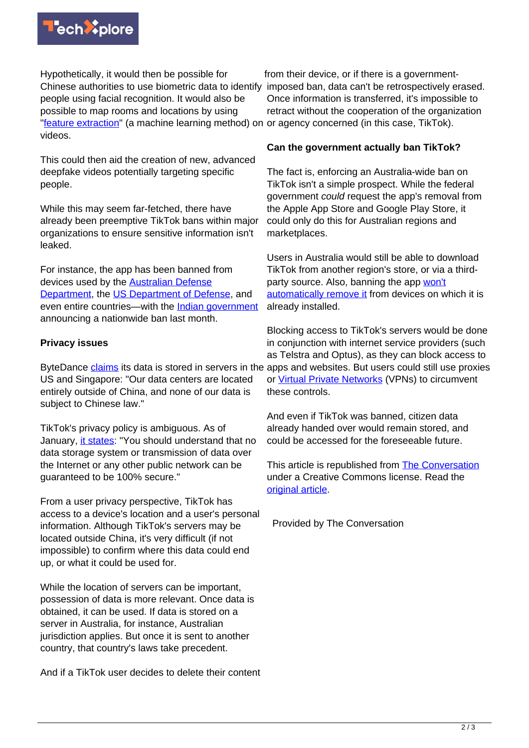

Hypothetically, it would then be possible for Chinese authorities to use biometric data to identify imposed ban, data can't be retrospectively erased. people using facial recognition. It would also be possible to map rooms and locations by using ["feature extraction](https://deepai.org/machine-learning-glossary-and-terms/feature-extraction#:~:text=Feature%20extraction%20is%20a%20process,of%20computing%20resources%20to%20process.)" (a machine learning method) on or agency concerned (in this case, TikTok). videos.

This could then aid the creation of new, advanced deepfake videos potentially targeting specific people.

While this may seem far-fetched, there have already been preemptive TikTok bans within major organizations to ensure sensitive information isn't leaked.

For instance, the app has been banned from devices used by the [Australian Defense](https://www.abc.net.au/news/science/2020-01-16/defense-ban-tiktok-china-security-fears/11869512) [Department,](https://www.abc.net.au/news/science/2020-01-16/defense-ban-tiktok-china-security-fears/11869512) the [US Department of Defense](https://www.nytimes.com/2020/01/04/us/tiktok-pentagon-military-ban.html), and even entire countries—with the [Indian government](https://techcrunch.com/2020/06/29/india-bans-tiktok-dozens-of-other-chinese-apps/) announcing a nationwide ban last month.

## **Privacy issues**

ByteDance [claims](https://datacenterfrontier.com/growth-of-tiktok-boosts-data-center-appetite-for-bytedance/#:~:text=%E2%80%9CWe%20store%20all%20TikTok%20US,to%20serve%20the%20Chinese%20market.//) its data is stored in servers in the apps and websites. But users could still use proxies US and Singapore: "Our data centers are located entirely outside of China, and none of our data is subject to Chinese law."

TikTok's privacy policy is ambiguous. As of January, [it states:](https://www.tiktok.com/legal/privacy-policy?lang=en) "You should understand that no data storage system or transmission of data over the Internet or any other public network can be guaranteed to be 100% secure."

From a user privacy perspective, TikTok has access to a device's location and a user's personal information. Although TikTok's servers may be located outside China, it's very difficult (if not impossible) to confirm where this data could end up, or what it could be used for.

While the location of servers can be important, possession of data is more relevant. Once data is obtained, it can be used. If data is stored on a server in Australia, for instance, Australian jurisdiction applies. But once it is sent to another country, that country's laws take precedent.

And if a TikTok user decides to delete their content

from their device, or if there is a government-Once information is transferred, it's impossible to retract without the cooperation of the organization

#### **Can the government actually ban TikTok?**

The fact is, enforcing an Australia-wide ban on TikTok isn't a simple prospect. While the federal government could request the app's removal from the Apple App Store and Google Play Store, it could only do this for Australian regions and marketplaces.

Users in Australia would still be able to download TikTok from another region's store, or via a thirdparty source. Also, banning the app [won't](https://www.indiatvnews.com/technology/apps-chinese-apps-banned-will-they-vanish-from-phones-what-happens-next-tells-cyber-expert-630322) [automatically remove it](https://www.indiatvnews.com/technology/apps-chinese-apps-banned-will-they-vanish-from-phones-what-happens-next-tells-cyber-expert-630322) from devices on which it is already installed.

Blocking access to TikTok's servers would be done in conjunction with internet service providers (such as Telstra and Optus), as they can block access to or [Virtual Private Networks](https://us.norton.com/internetsecurity-privacy-what-is-a-vpn.html) (VPNs) to circumvent these controls.

And even if TikTok was banned, citizen data already handed over would remain stored, and could be accessed for the foreseeable future.

This article is republished from [The Conversation](https://theconversation.com) under a Creative Commons license. Read the [original article](https://theconversation.com/china-could-be-using-tiktok-to-spy-on-australians-but-banning-it-isnt-a-simple-fix-142157).

Provided by The Conversation